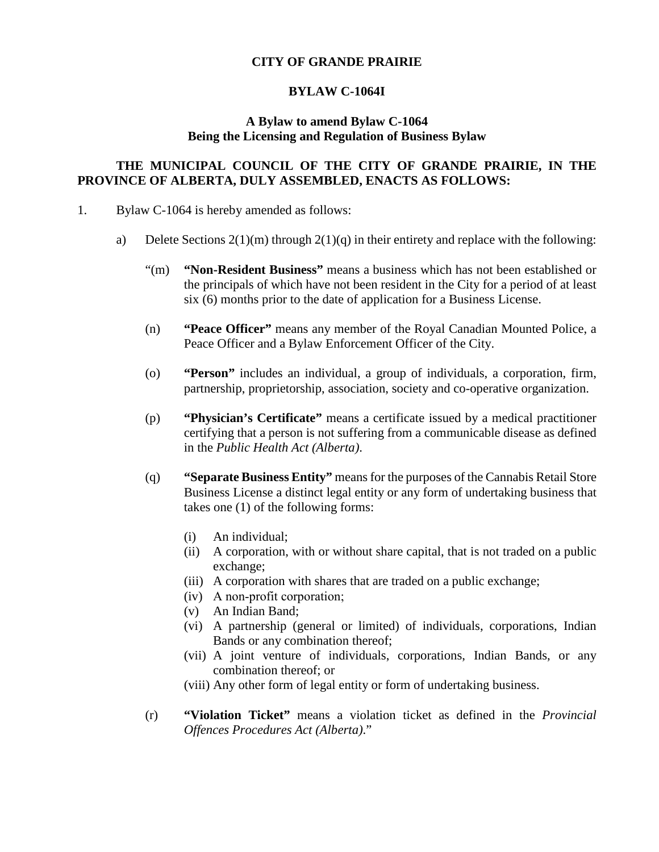## **CITY OF GRANDE PRAIRIE**

## **BYLAW C-1064I**

## **A Bylaw to amend Bylaw C-1064 Being the Licensing and Regulation of Business Bylaw**

## **THE MUNICIPAL COUNCIL OF THE CITY OF GRANDE PRAIRIE, IN THE PROVINCE OF ALBERTA, DULY ASSEMBLED, ENACTS AS FOLLOWS:**

- 1. Bylaw C-1064 is hereby amended as follows:
	- a) Delete Sections  $2(1)(m)$  through  $2(1)(q)$  in their entirety and replace with the following:
		- "(m) **"Non-Resident Business"** means a business which has not been established or the principals of which have not been resident in the City for a period of at least six (6) months prior to the date of application for a Business License.
		- (n) **"Peace Officer"** means any member of the Royal Canadian Mounted Police, a Peace Officer and a Bylaw Enforcement Officer of the City.
		- (o) **"Person"** includes an individual, a group of individuals, a corporation, firm, partnership, proprietorship, association, society and co-operative organization.
		- (p) **"Physician's Certificate"** means a certificate issued by a medical practitioner certifying that a person is not suffering from a communicable disease as defined in the *Public Health Act (Alberta)*.
		- (q) **"Separate Business Entity"** means for the purposes of the Cannabis Retail Store Business License a distinct legal entity or any form of undertaking business that takes one (1) of the following forms:
			- (i) An individual;
			- (ii) A corporation, with or without share capital, that is not traded on a public exchange;
			- (iii) A corporation with shares that are traded on a public exchange;
			- (iv) A non‐profit corporation;
			- (v) An Indian Band;
			- (vi) A partnership (general or limited) of individuals, corporations, Indian Bands or any combination thereof;
			- (vii) A joint venture of individuals, corporations, Indian Bands, or any combination thereof; or
			- (viii) Any other form of legal entity or form of undertaking business.
		- (r) **"Violation Ticket"** means a violation ticket as defined in the *Provincial Offences Procedures Act (Alberta)*."